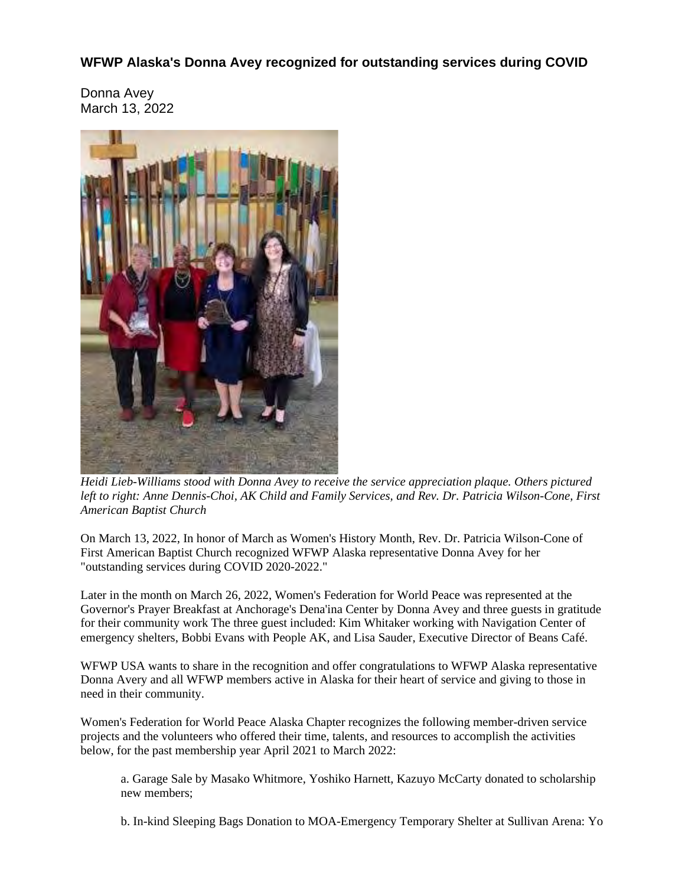## **WFWP Alaska's Donna Avey recognized for outstanding services during COVID**

Donna Avey March 13, 2022



*Heidi Lieb-Williams stood with Donna Avey to receive the service appreciation plaque. Others pictured left to right: Anne Dennis-Choi, AK Child and Family Services, and Rev. Dr. Patricia Wilson-Cone, First American Baptist Church*

On March 13, 2022, In honor of March as Women's History Month, Rev. Dr. Patricia Wilson-Cone of First American Baptist Church recognized WFWP Alaska representative Donna Avey for her "outstanding services during COVID 2020-2022."

Later in the month on March 26, 2022, Women's Federation for World Peace was represented at the Governor's Prayer Breakfast at Anchorage's Dena'ina Center by Donna Avey and three guests in gratitude for their community work The three guest included: Kim Whitaker working with Navigation Center of emergency shelters, Bobbi Evans with People AK, and Lisa Sauder, Executive Director of Beans Café.

WFWP USA wants to share in the recognition and offer congratulations to WFWP Alaska representative Donna Avery and all WFWP members active in Alaska for their heart of service and giving to those in need in their community.

Women's Federation for World Peace Alaska Chapter recognizes the following member-driven service projects and the volunteers who offered their time, talents, and resources to accomplish the activities below, for the past membership year April 2021 to March 2022:

a. Garage Sale by Masako Whitmore, Yoshiko Harnett, Kazuyo McCarty donated to scholarship new members;

b. In-kind Sleeping Bags Donation to MOA-Emergency Temporary Shelter at Sullivan Arena: Yo